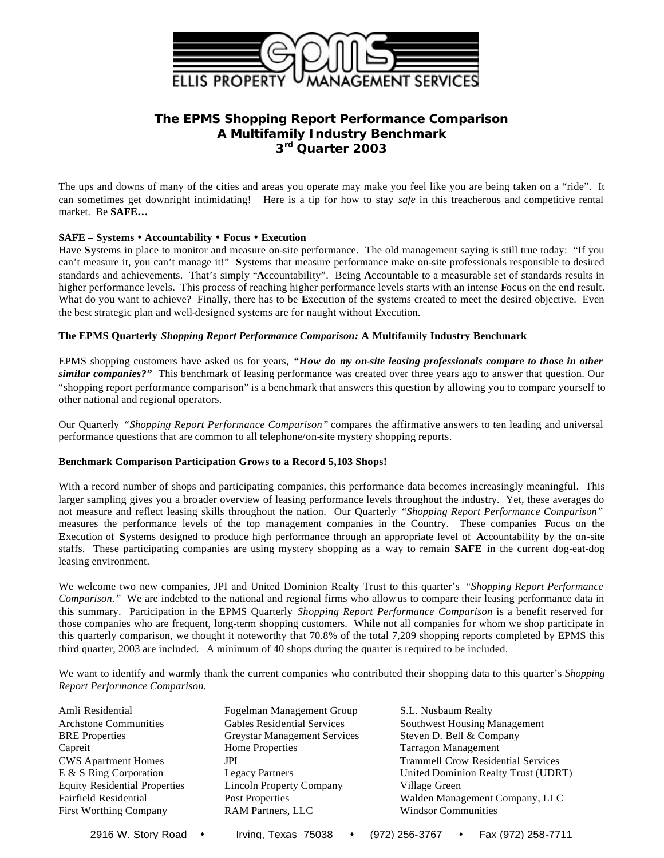

# **The EPMS** *Shopping Report Performance Comparison* **A Multifamily Industry Benchmark 3 rd Quarter 2003**

The ups and downs of many of the cities and areas you operate may make you feel like you are being taken on a "ride". It can sometimes get downright intimidating! Here is a tip for how to stay *safe* in this treacherous and competitive rental market. Be **SAFE…**

## **SAFE – Systems · Accountability · Focus · Execution**

Have **S**ystems in place to monitor and measure on-site performance. The old management saying is still true today: "If you can't measure it, you can't manage it!" **S**ystems that measure performance make on-site professionals responsible to desired standards and achievements. That's simply "**A**ccountability". Being **A**ccountable to a measurable set of standards results in higher performance levels. This process of reaching higher performance levels starts with an intense **F**ocus on the end result. What do you want to achieve? Finally, there has to be **E**xecution of the **s**ystems created to meet the desired objective. Even the best strategic plan and well-designed **s**ystems are for naught without **E**xecution.

#### **The EPMS Quarterly** *Shopping Report Performance Comparison:* **A Multifamily Industry Benchmark**

EPMS shopping customers have asked us for years, *"How do my on-site leasing professionals compare to those in other similar companies?"* This benchmark of leasing performance was created over three years ago to answer that question. Our "shopping report performance comparison" is a benchmark that answers this question by allowing you to compare yourself to other national and regional operators.

Our Quarterly *"Shopping Report Performance Comparison"* compares the affirmative answers to ten leading and universal performance questions that are common to all telephone/on-site mystery shopping reports.

## **Benchmark Comparison Participation Grows to a Record 5,103 Shops!**

With a record number of shops and participating companies, this performance data becomes increasingly meaningful. This larger sampling gives you a broader overview of leasing performance levels throughout the industry. Yet, these averages do not measure and reflect leasing skills throughout the nation. Our Quarterly *"Shopping Report Performance Comparison"*  measures the performance levels of the top management companies in the Country. These companies **F**ocus on the **E**xecution of **S**ystems designed to produce high performance through an appropriate level of **A**ccountability by the on-site staffs. These participating companies are using mystery shopping as a way to remain **SAFE** in the current dog-eat-dog leasing environment.

We welcome two new companies, JPI and United Dominion Realty Trust to this quarter's *"Shopping Report Performance Comparison."* We are indebted to the national and regional firms who allow us to compare their leasing performance data in this summary. Participation in the EPMS Quarterly *Shopping Report Performance Comparison* is a benefit reserved for those companies who are frequent, long-term shopping customers. While not all companies for whom we shop participate in this quarterly comparison, we thought it noteworthy that 70.8% of the total 7,209 shopping reports completed by EPMS this third quarter, 2003 are included. A minimum of 40 shops during the quarter is required to be included.

We want to identify and warmly thank the current companies who contributed their shopping data to this quarter's *Shopping Report Performance Comparison.* 

| Amli Residential                     | Fogelman Management Group           | S.L. Nusbaum Realty                       |  |  |
|--------------------------------------|-------------------------------------|-------------------------------------------|--|--|
| <b>Archstone Communities</b>         | <b>Gables Residential Services</b>  | <b>Southwest Housing Management</b>       |  |  |
| <b>BRE</b> Properties                | <b>Greystar Management Services</b> | Steven D. Bell & Company                  |  |  |
| Capreit                              | Home Properties                     | Tarragon Management                       |  |  |
| <b>CWS Apartment Homes</b>           | JPI                                 | <b>Trammell Crow Residential Services</b> |  |  |
| E & S Ring Corporation               | <b>Legacy Partners</b>              | United Dominion Realty Trust (UDRT)       |  |  |
| <b>Equity Residential Properties</b> | <b>Lincoln Property Company</b>     | Village Green                             |  |  |
| Fairfield Residential                | Post Properties                     | Walden Management Company, LLC            |  |  |
| <b>First Worthing Company</b>        | <b>RAM Partners, LLC</b>            | <b>Windsor Communities</b>                |  |  |
|                                      |                                     |                                           |  |  |

2916 W. Story Road • Irving. Texas 75038 • (972) 256-3767 • Fax (972) 258-7711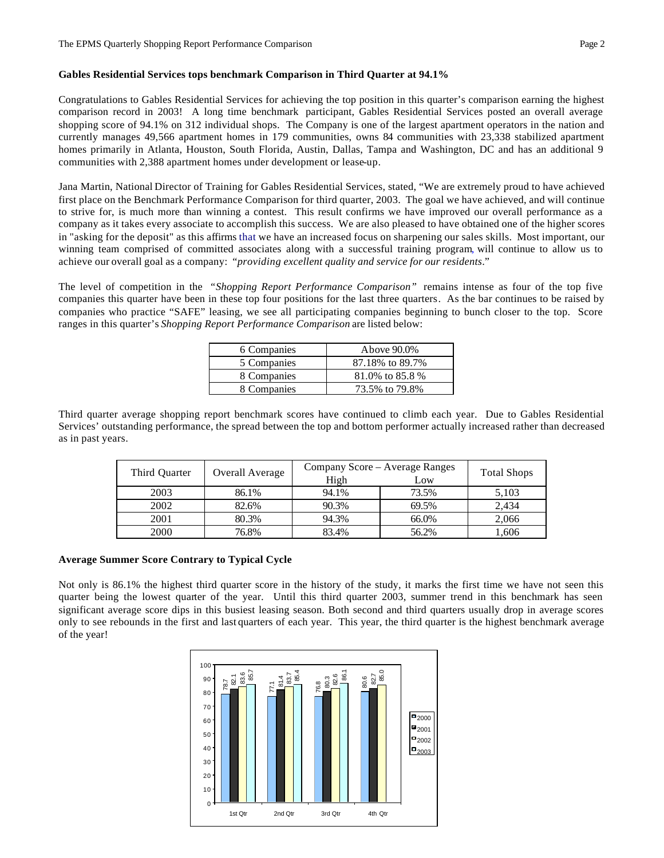## **Gables Residential Services tops benchmark Comparison in Third Quarter at 94.1%**

Congratulations to Gables Residential Services for achieving the top position in this quarter's comparison earning the highest comparison record in 2003! A long time benchmark participant, Gables Residential Services posted an overall average shopping score of 94.1% on 312 individual shops. The Company is one of the largest apartment operators in the nation and currently manages 49,566 apartment homes in 179 communities, owns 84 communities with 23,338 stabilized apartment homes primarily in Atlanta, Houston, South Florida, Austin, Dallas, Tampa and Washington, DC and has an additional 9 communities with 2,388 apartment homes under development or lease-up.

Jana Martin, National Director of Training for Gables Residential Services, stated, "We are extremely proud to have achieved first place on the Benchmark Performance Comparison for third quarter, 2003. The goal we have achieved, and will continue to strive for, is much more than winning a contest. This result confirms we have improved our overall performance as a company as it takes every associate to accomplish this success. We are also pleased to have obtained one of the higher scores in "asking for the deposit" as this affirms that we have an increased focus on sharpening our sales skills. Most important, our winning team comprised of committed associates along with a successful training program, will continue to allow us to achieve our overall goal as a company: "*providing excellent quality and service for our residents*."

The level of competition in the *"Shopping Report Performance Comparison"* remains intense as four of the top five companies this quarter have been in these top four positions for the last three quarters. As the bar continues to be raised by companies who practice "SAFE" leasing, we see all participating companies beginning to bunch closer to the top. Score ranges in this quarter's *Shopping Report Performance Comparison* are listed below:

| 6 Companies | Above 90.0%     |
|-------------|-----------------|
| 5 Companies | 87.18% to 89.7% |
| 8 Companies | 81.0% to 85.8 % |
| 8 Companies | 73.5% to 79.8%  |

Third quarter average shopping report benchmark scores have continued to climb each year. Due to Gables Residential Services' outstanding performance, the spread between the top and bottom performer actually increased rather than decreased as in past years.

| Third Ouarter | Overall Average | Company Score – Average Ranges<br>High | <b>Total Shops</b> |       |
|---------------|-----------------|----------------------------------------|--------------------|-------|
| 2003          | 86.1%           | 94.1%                                  | 73.5%              | 5,103 |
| 2002          | 82.6%           | 90.3%                                  | 69.5%              | 2.434 |
| 2001          | 80.3%           | 94.3%                                  | 66.0%              | 2,066 |
| 2000          | 76.8%           | 83.4%                                  | 56.2%              | .606  |

#### **Average Summer Score Contrary to Typical Cycle**

Not only is 86.1% the highest third quarter score in the history of the study, it marks the first time we have not seen this quarter being the lowest quarter of the year. Until this third quarter 2003, summer trend in this benchmark has seen significant average score dips in this busiest leasing season. Both second and third quarters usually drop in average scores only to see rebounds in the first and last quarters of each year. This year, the third quarter is the highest benchmark average of the year!

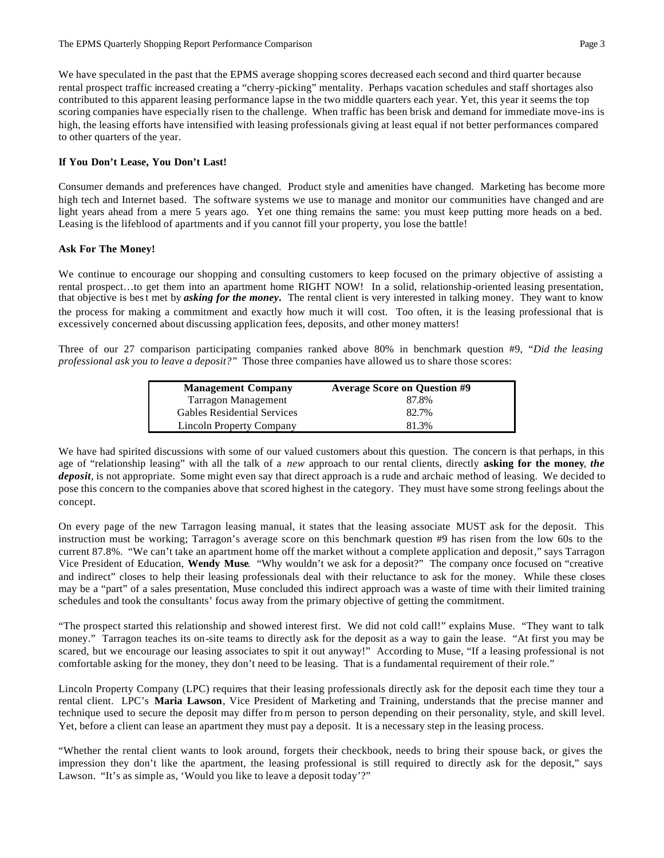We have speculated in the past that the EPMS average shopping scores decreased each second and third quarter because rental prospect traffic increased creating a "cherry-picking" mentality. Perhaps vacation schedules and staff shortages also contributed to this apparent leasing performance lapse in the two middle quarters each year. Yet, this year it seems the top scoring companies have especially risen to the challenge. When traffic has been brisk and demand for immediate move-ins is high, the leasing efforts have intensified with leasing professionals giving at least equal if not better performances compared to other quarters of the year.

#### **If You Don't Lease, You Don't Last!**

Consumer demands and preferences have changed. Product style and amenities have changed. Marketing has become more high tech and Internet based. The software systems we use to manage and monitor our communities have changed and are light years ahead from a mere 5 years ago. Yet one thing remains the same: you must keep putting more heads on a bed. Leasing is the lifeblood of apartments and if you cannot fill your property, you lose the battle!

#### **Ask For The Money!**

We continue to encourage our shopping and consulting customers to keep focused on the primary objective of assisting a rental prospect…to get them into an apartment home RIGHT NOW! In a solid, relationship-oriented leasing presentation, that objective is best met by *asking for the money***.** The rental client is very interested in talking money. They want to know the process for making a commitment and exactly how much it will cost. Too often, it is the leasing professional that is excessively concerned about discussing application fees, deposits, and other money matters!

Three of our 27 comparison participating companies ranked above 80% in benchmark question #9, "*Did the leasing professional ask you to leave a deposit?*" Those three companies have allowed us to share those scores:

| <b>Management Company</b>          | <b>Average Score on Question #9</b> |  |  |  |  |
|------------------------------------|-------------------------------------|--|--|--|--|
| Tarragon Management                | 87.8%                               |  |  |  |  |
| <b>Gables Residential Services</b> | 82.7%                               |  |  |  |  |
| Lincoln Property Company           | 81.3%                               |  |  |  |  |

We have had spirited discussions with some of our valued customers about this question. The concern is that perhaps, in this age of "relationship leasing" with all the talk of a *new* approach to our rental clients, directly **asking for the money**, *the deposit*, is not appropriate. Some might even say that direct approach is a rude and archaic method of leasing. We decided to pose this concern to the companies above that scored highest in the category. They must have some strong feelings about the concept.

On every page of the new Tarragon leasing manual, it states that the leasing associate MUST ask for the deposit. This instruction must be working; Tarragon's average score on this benchmark question #9 has risen from the low 60s to the current 87.8%. "We can't take an apartment home off the market without a complete application and deposit," says Tarragon Vice President of Education, **Wendy Muse**. "Why wouldn't we ask for a deposit?" The company once focused on "creative and indirect" closes to help their leasing professionals deal with their reluctance to ask for the money. While these closes may be a "part" of a sales presentation, Muse concluded this indirect approach was a waste of time with their limited training schedules and took the consultants' focus away from the primary objective of getting the commitment.

"The prospect started this relationship and showed interest first. We did not cold call!" explains Muse. "They want to talk money." Tarragon teaches its on-site teams to directly ask for the deposit as a way to gain the lease. "At first you may be scared, but we encourage our leasing associates to spit it out anyway!" According to Muse, "If a leasing professional is not comfortable asking for the money, they don't need to be leasing. That is a fundamental requirement of their role."

Lincoln Property Company (LPC) requires that their leasing professionals directly ask for the deposit each time they tour a rental client. LPC's **Maria Lawson**, Vice President of Marketing and Training, understands that the precise manner and technique used to secure the deposit may differ fro m person to person depending on their personality, style, and skill level. Yet, before a client can lease an apartment they must pay a deposit. It is a necessary step in the leasing process.

"Whether the rental client wants to look around, forgets their checkbook, needs to bring their spouse back, or gives the impression they don't like the apartment, the leasing professional is still required to directly ask for the deposit," says Lawson. "It's as simple as, 'Would you like to leave a deposit today'?"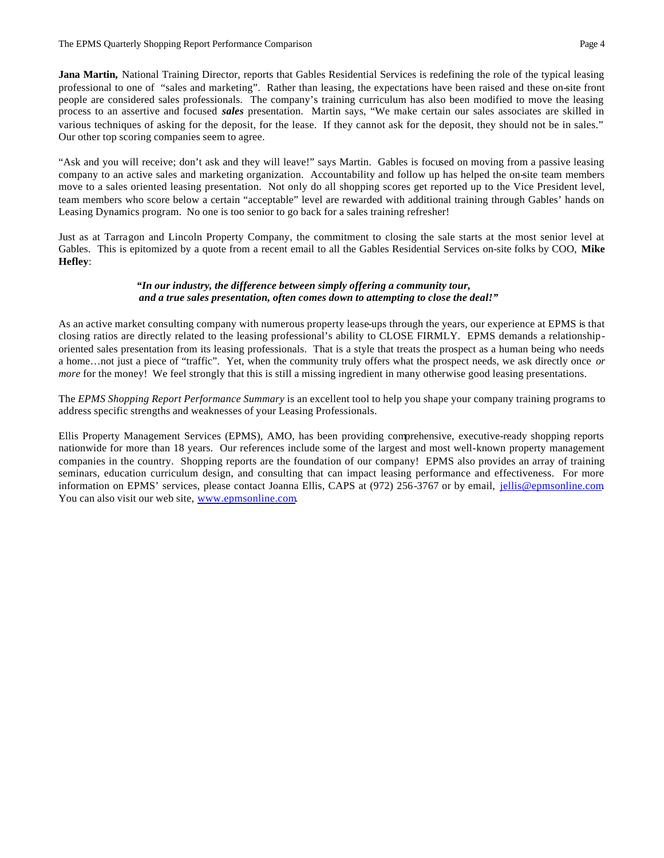**Jana Martin,** National Training Director, reports that Gables Residential Services is redefining the role of the typical leasing professional to one of "sales and marketing". Rather than leasing, the expectations have been raised and these on-site front people are considered sales professionals. The company's training curriculum has also been modified to move the leasing process to an assertive and focused *sales* presentation. Martin says, "We make certain our sales associates are skilled in various techniques of asking for the deposit, for the lease. If they cannot ask for the deposit, they should not be in sales." Our other top scoring companies seem to agree.

"Ask and you will receive; don't ask and they will leave!" says Martin. Gables is focused on moving from a passive leasing company to an active sales and marketing organization. Accountability and follow up has helped the on-site team members move to a sales oriented leasing presentation. Not only do all shopping scores get reported up to the Vice President level, team members who score below a certain "acceptable" level are rewarded with additional training through Gables' hands on Leasing Dynamics program. No one is too senior to go back for a sales training refresher!

Just as at Tarragon and Lincoln Property Company, the commitment to closing the sale starts at the most senior level at Gables. This is epitomized by a quote from a recent email to all the Gables Residential Services on-site folks by COO, **Mike Hefley**:

#### *"In our industry, the difference between simply offering a community tour, and a true sales presentation, often comes down to attempting to close the deal!"*

As an active market consulting company with numerous property lease-ups through the years, our experience at EPMS is that closing ratios are directly related to the leasing professional's ability to CLOSE FIRMLY. EPMS demands a relationshiporiented sales presentation from its leasing professionals. That is a style that treats the prospect as a human being who needs a home…not just a piece of "traffic". Yet, when the community truly offers what the prospect needs, we ask directly once *or more* for the money! We feel strongly that this is still a missing ingredient in many otherwise good leasing presentations.

The *EPMS Shopping Report Performance Summary* is an excellent tool to help you shape your company training programs to address specific strengths and weaknesses of your Leasing Professionals.

Ellis Property Management Services (EPMS), AMO, has been providing comprehensive, executive-ready shopping reports nationwide for more than 18 years. Our references include some of the largest and most well-known property management companies in the country. Shopping reports are the foundation of our company! EPMS also provides an array of training seminars, education curriculum design, and consulting that can impact leasing performance and effectiveness. For more information on EPMS' services, please contact Joanna Ellis, CAPS at (972) 256-3767 or by email, jellis@epmsonline.com. You can also visit our web site, www.epmsonline.com.